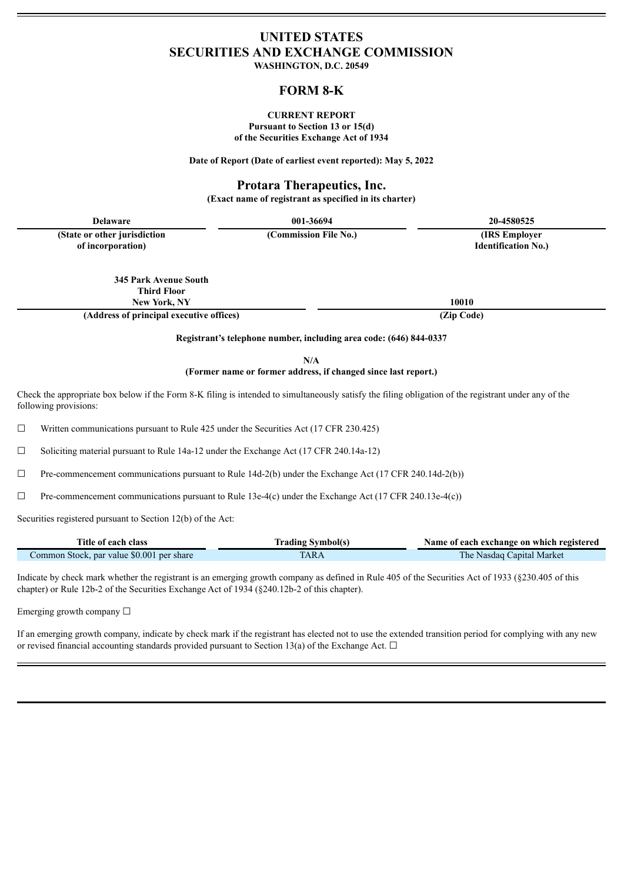# **UNITED STATES SECURITIES AND EXCHANGE COMMISSION**

**WASHINGTON, D.C. 20549**

# **FORM 8-K**

### **CURRENT REPORT Pursuant to Section 13 or 15(d) of the Securities Exchange Act of 1934**

**Date of Report (Date of earliest event reported): May 5, 2022**

# **Protara Therapeutics, Inc.**

**(Exact name of registrant as specified in its charter)**

| <b>Delaware</b>                                    | 001-36694             | 20-4580525                                   |
|----------------------------------------------------|-----------------------|----------------------------------------------|
| (State or other jurisdiction)<br>of incorporation) | (Commission File No.) | (IRS Employer)<br><b>Identification No.)</b> |

**345 Park Avenue South Third Floor**

**(Address of principal executive offices) (Zip Code)**

**New York, NY 10010**

**Registrant's telephone number, including area code: (646) 844-0337**

**N/A**

# **(Former name or former address, if changed since last report.)**

Check the appropriate box below if the Form 8-K filing is intended to simultaneously satisfy the filing obligation of the registrant under any of the following provisions:

 $\Box$  Written communications pursuant to Rule 425 under the Securities Act (17 CFR 230.425)

☐ Soliciting material pursuant to Rule 14a-12 under the Exchange Act (17 CFR 240.14a-12)

 $\Box$  Pre-commencement communications pursuant to Rule 14d-2(b) under the Exchange Act (17 CFR 240.14d-2(b))

 $\Box$  Pre-commencement communications pursuant to Rule 13e-4(c) under the Exchange Act (17 CFR 240.13e-4(c))

Securities registered pursuant to Section 12(b) of the Act:

| Title of each class                       | <b>Trading Symbol(s)</b> | Name of each exchange on which registered |
|-------------------------------------------|--------------------------|-------------------------------------------|
| Common Stock, par value \$0.001 per share | TARA                     | The Nasdaq Capital Market                 |

Indicate by check mark whether the registrant is an emerging growth company as defined in Rule 405 of the Securities Act of 1933 (§230.405 of this chapter) or Rule 12b-2 of the Securities Exchange Act of 1934 (§240.12b-2 of this chapter).

Emerging growth company □

If an emerging growth company, indicate by check mark if the registrant has elected not to use the extended transition period for complying with any new or revised financial accounting standards provided pursuant to Section 13(a) of the Exchange Act.  $\Box$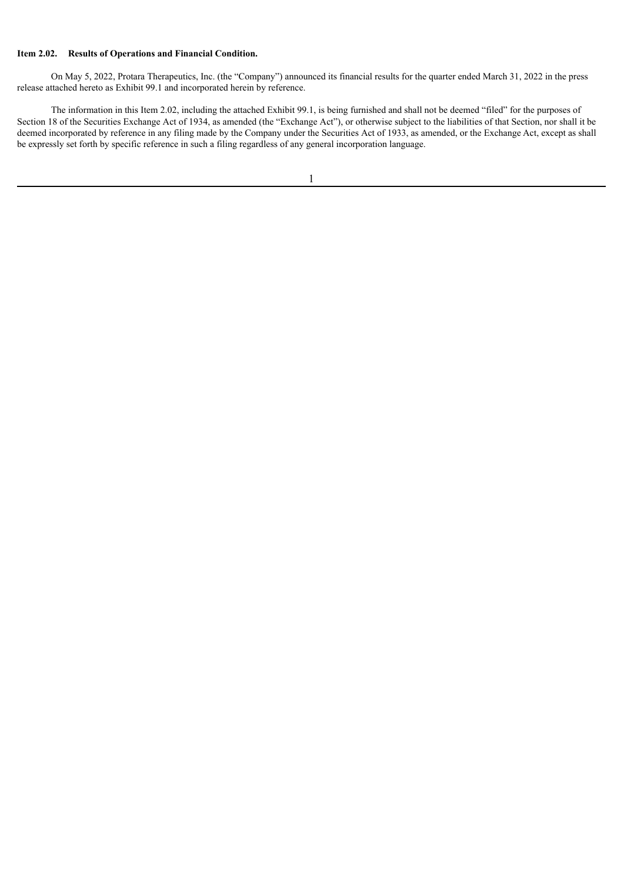## **Item 2.02. Results of Operations and Financial Condition.**

On May 5, 2022, Protara Therapeutics, Inc. (the "Company") announced its financial results for the quarter ended March 31, 2022 in the press release attached hereto as Exhibit 99.1 and incorporated herein by reference.

The information in this Item 2.02, including the attached Exhibit 99.1, is being furnished and shall not be deemed "filed" for the purposes of Section 18 of the Securities Exchange Act of 1934, as amended (the "Exchange Act"), or otherwise subject to the liabilities of that Section, nor shall it be deemed incorporated by reference in any filing made by the Company under the Securities Act of 1933, as amended, or the Exchange Act, except as shall be expressly set forth by specific reference in such a filing regardless of any general incorporation language.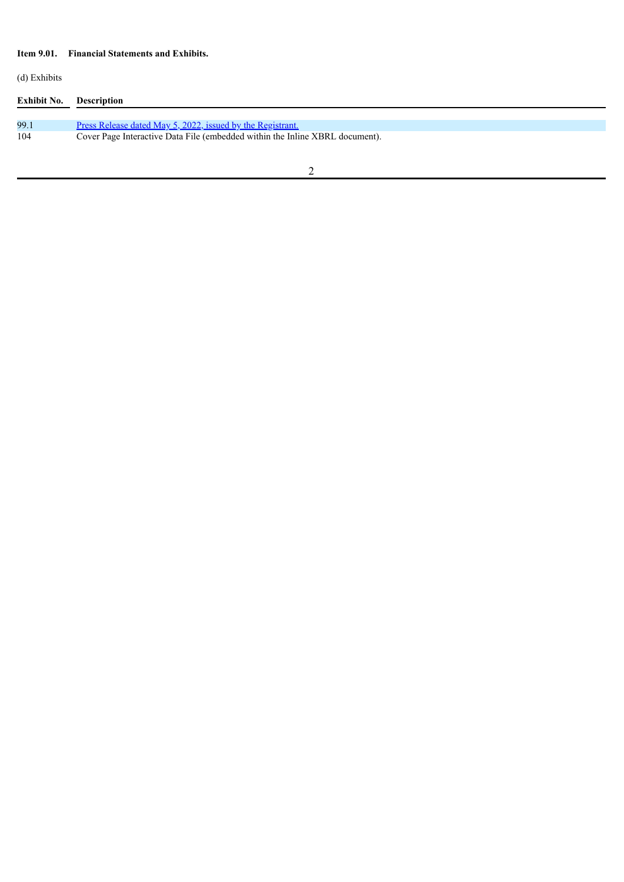# **Item 9.01. Financial Statements and Exhibits.**

(d) Exhibits

| Exhibit No. | <b>Description</b>                                                           |
|-------------|------------------------------------------------------------------------------|
| 99.1        | <u>Press Release dated May 5, 2022, issued by the Registrant.</u>            |
| 104         | Cover Page Interactive Data File (embedded within the Inline XBRL document). |
|             |                                                                              |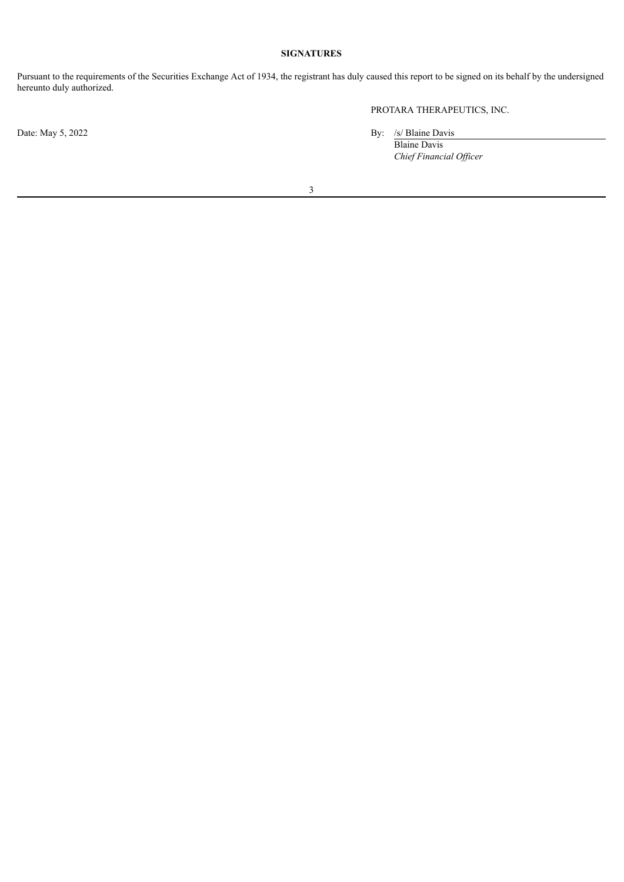# **SIGNATURES**

Pursuant to the requirements of the Securities Exchange Act of 1934, the registrant has duly caused this report to be signed on its behalf by the undersigned hereunto duly authorized.

PROTARA THERAPEUTICS, INC.

Date: May 5, 2022 By: /s/ Blaine Davis

Blaine Davis *Chief Financial Of icer*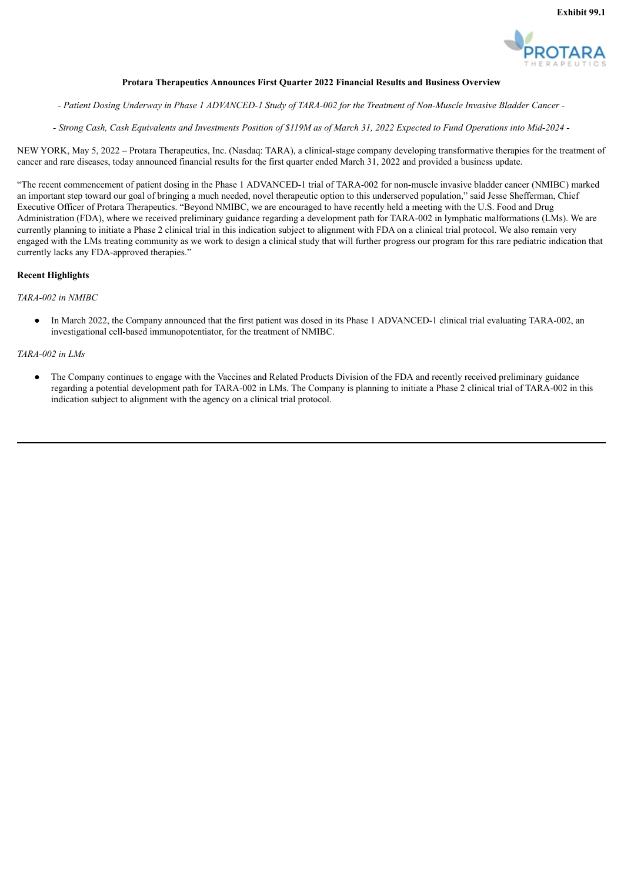

## **Protara Therapeutics Announces First Quarter 2022 Financial Results and Business Overview**

<span id="page-4-0"></span>- Patient Dosing Underway in Phase 1 ADVANCED-1 Study of TARA-002 for the Treatment of Non-Muscle Invasive Bladder Cancer -

- Strong Cash, Cash Equivalents and Investments Position of \$119M as of March 31, 2022 Expected to Fund Operations into Mid-2024 -

NEW YORK, May 5, 2022 – Protara Therapeutics, Inc. (Nasdaq: TARA), a clinical-stage company developing transformative therapies for the treatment of cancer and rare diseases, today announced financial results for the first quarter ended March 31, 2022 and provided a business update.

"The recent commencement of patient dosing in the Phase 1 ADVANCED-1 trial of TARA-002 for non-muscle invasive bladder cancer (NMIBC) marked an important step toward our goal of bringing a much needed, novel therapeutic option to this underserved population," said Jesse Shefferman, Chief Executive Officer of Protara Therapeutics. "Beyond NMIBC, we are encouraged to have recently held a meeting with the U.S. Food and Drug Administration (FDA), where we received preliminary guidance regarding a development path for TARA-002 in lymphatic malformations (LMs). We are currently planning to initiate a Phase 2 clinical trial in this indication subject to alignment with FDA on a clinical trial protocol. We also remain very engaged with the LMs treating community as we work to design a clinical study that will further progress our program for this rare pediatric indication that currently lacks any FDA-approved therapies."

#### **Recent Highlights**

*TARA-002 in NMIBC*

In March 2022, the Company announced that the first patient was dosed in its Phase 1 ADVANCED-1 clinical trial evaluating TARA-002, an investigational cell-based immunopotentiator, for the treatment of NMIBC.

#### *TARA-002 in LMs*

● The Company continues to engage with the Vaccines and Related Products Division of the FDA and recently received preliminary guidance regarding a potential development path for TARA-002 in LMs. The Company is planning to initiate a Phase 2 clinical trial of TARA-002 in this indication subject to alignment with the agency on a clinical trial protocol.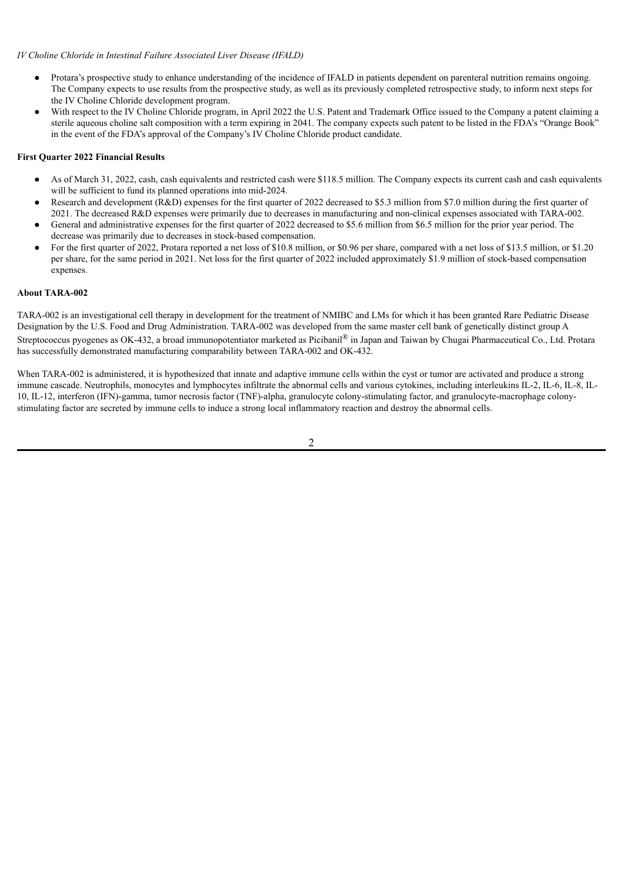## *IV Choline Chloride in Intestinal Failure Associated Liver Disease (IFALD)*

- Protara's prospective study to enhance understanding of the incidence of IFALD in patients dependent on parenteral nutrition remains ongoing. The Company expects to use results from the prospective study, as well as its previously completed retrospective study, to inform next steps for the IV Choline Chloride development program.
- With respect to the IV Choline Chloride program, in April 2022 the U.S. Patent and Trademark Office issued to the Company a patent claiming a sterile aqueous choline salt composition with a term expiring in 2041. The company expects such patent to be listed in the FDA's "Orange Book" in the event of the FDA's approval of the Company's IV Choline Chloride product candidate.

## **First Quarter 2022 Financial Results**

- As of March 31, 2022, cash, cash equivalents and restricted cash were \$118.5 million. The Company expects its current cash and cash equivalents will be sufficient to fund its planned operations into mid-2024.
- Research and development (R&D) expenses for the first quarter of 2022 decreased to \$5.3 million from \$7.0 million during the first quarter of 2021. The decreased R&D expenses were primarily due to decreases in manufacturing and non-clinical expenses associated with TARA-002.
- General and administrative expenses for the first quarter of 2022 decreased to \$5.6 million from \$6.5 million for the prior year period. The decrease was primarily due to decreases in stock-based compensation.
- For the first quarter of 2022, Protara reported a net loss of \$10.8 million, or \$0.96 per share, compared with a net loss of \$13.5 million, or \$1.20 per share, for the same period in 2021. Net loss for the first quarter of 2022 included approximately \$1.9 million of stock-based compensation expenses.

## **About TARA-002**

TARA-002 is an investigational cell therapy in development for the treatment of NMIBC and LMs for which it has been granted Rare Pediatric Disease Designation by the U.S. Food and Drug Administration. TARA-002 was developed from the same master cell bank of genetically distinct group A Streptococcus pyogenes as OK-432, a broad immunopotentiator marketed as Picibanil® in Japan and Taiwan by Chugai Pharmaceutical Co., Ltd. Protara has successfully demonstrated manufacturing comparability between TARA-002 and OK-432.

When TARA-002 is administered, it is hypothesized that innate and adaptive immune cells within the cyst or tumor are activated and produce a strong immune cascade. Neutrophils, monocytes and lymphocytes infiltrate the abnormal cells and various cytokines, including interleukins IL-2, IL-6, IL-8, IL-10, IL-12, interferon (IFN)-gamma, tumor necrosis factor (TNF)-alpha, granulocyte colony-stimulating factor, and granulocyte-macrophage colonystimulating factor are secreted by immune cells to induce a strong local inflammatory reaction and destroy the abnormal cells.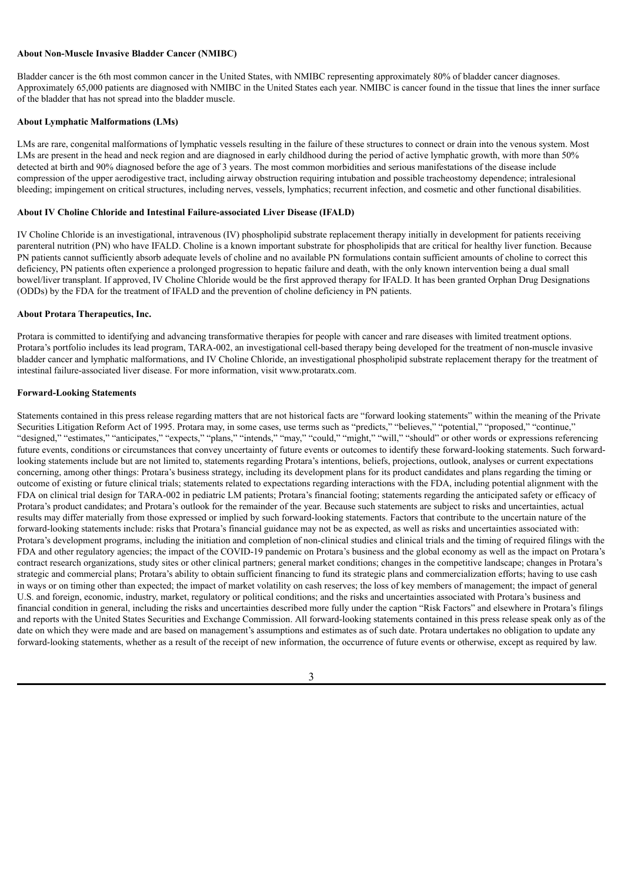#### **About Non-Muscle Invasive Bladder Cancer (NMIBC)**

Bladder cancer is the 6th most common cancer in the United States, with NMIBC representing approximately 80% of bladder cancer diagnoses. Approximately 65,000 patients are diagnosed with NMIBC in the United States each year. NMIBC is cancer found in the tissue that lines the inner surface of the bladder that has not spread into the bladder muscle.

#### **About Lymphatic Malformations (LMs)**

LMs are rare, congenital malformations of lymphatic vessels resulting in the failure of these structures to connect or drain into the venous system. Most LMs are present in the head and neck region and are diagnosed in early childhood during the period of active lymphatic growth, with more than 50% detected at birth and 90% diagnosed before the age of 3 years. The most common morbidities and serious manifestations of the disease include compression of the upper aerodigestive tract, including airway obstruction requiring intubation and possible tracheostomy dependence; intralesional bleeding; impingement on critical structures, including nerves, vessels, lymphatics; recurrent infection, and cosmetic and other functional disabilities.

## **About IV Choline Chloride and Intestinal Failure-associated Liver Disease (IFALD)**

IV Choline Chloride is an investigational, intravenous (IV) phospholipid substrate replacement therapy initially in development for patients receiving parenteral nutrition (PN) who have IFALD. Choline is a known important substrate for phospholipids that are critical for healthy liver function. Because PN patients cannot sufficiently absorb adequate levels of choline and no available PN formulations contain sufficient amounts of choline to correct this deficiency, PN patients often experience a prolonged progression to hepatic failure and death, with the only known intervention being a dual small bowel/liver transplant. If approved, IV Choline Chloride would be the first approved therapy for IFALD. It has been granted Orphan Drug Designations (ODDs) by the FDA for the treatment of IFALD and the prevention of choline deficiency in PN patients.

#### **About Protara Therapeutics, Inc.**

Protara is committed to identifying and advancing transformative therapies for people with cancer and rare diseases with limited treatment options. Protara's portfolio includes its lead program, TARA-002, an investigational cell-based therapy being developed for the treatment of non-muscle invasive bladder cancer and lymphatic malformations, and IV Choline Chloride, an investigational phospholipid substrate replacement therapy for the treatment of intestinal failure-associated liver disease. For more information, visit www.protaratx.com.

#### **Forward-Looking Statements**

Statements contained in this press release regarding matters that are not historical facts are "forward looking statements" within the meaning of the Private Securities Litigation Reform Act of 1995. Protara may, in some cases, use terms such as "predicts," "believes," "potential," "proposed," "continue," "designed," "estimates," "anticipates," "expects," "plans," "intends," "may," "could," "might," "will," "should" or other words or expressions referencing future events, conditions or circumstances that convey uncertainty of future events or outcomes to identify these forward-looking statements. Such forwardlooking statements include but are not limited to, statements regarding Protara's intentions, beliefs, projections, outlook, analyses or current expectations concerning, among other things: Protara's business strategy, including its development plans for its product candidates and plans regarding the timing or outcome of existing or future clinical trials; statements related to expectations regarding interactions with the FDA, including potential alignment with the FDA on clinical trial design for TARA-002 in pediatric LM patients; Protara's financial footing; statements regarding the anticipated safety or efficacy of Protara's product candidates; and Protara's outlook for the remainder of the year. Because such statements are subject to risks and uncertainties, actual results may differ materially from those expressed or implied by such forward-looking statements. Factors that contribute to the uncertain nature of the forward-looking statements include: risks that Protara's financial guidance may not be as expected, as well as risks and uncertainties associated with: Protara's development programs, including the initiation and completion of non-clinical studies and clinical trials and the timing of required filings with the FDA and other regulatory agencies; the impact of the COVID-19 pandemic on Protara's business and the global economy as well as the impact on Protara's contract research organizations, study sites or other clinical partners; general market conditions; changes in the competitive landscape; changes in Protara's strategic and commercial plans; Protara's ability to obtain sufficient financing to fund its strategic plans and commercialization efforts; having to use cash in ways or on timing other than expected; the impact of market volatility on cash reserves; the loss of key members of management; the impact of general U.S. and foreign, economic, industry, market, regulatory or political conditions; and the risks and uncertainties associated with Protara's business and financial condition in general, including the risks and uncertainties described more fully under the caption "Risk Factors" and elsewhere in Protara's filings and reports with the United States Securities and Exchange Commission. All forward-looking statements contained in this press release speak only as of the date on which they were made and are based on management's assumptions and estimates as of such date. Protara undertakes no obligation to update any forward-looking statements, whether as a result of the receipt of new information, the occurrence of future events or otherwise, except as required by law.

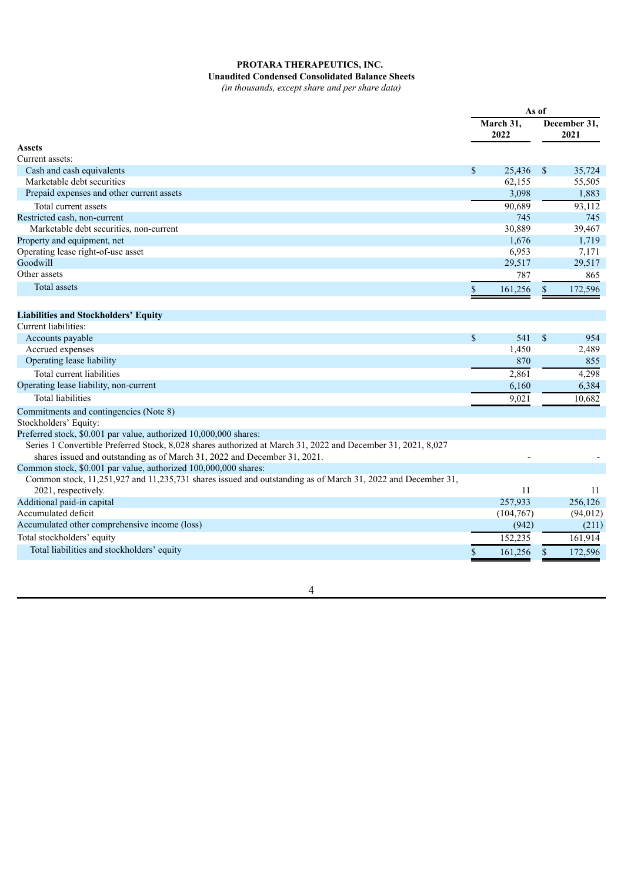# **PROTARA THERAPEUTICS, INC.**

**Unaudited Condensed Consolidated Balance Sheets** *(in thousands, except share and per share data)*

|                                                                                                              |              | As of             |               |                      |
|--------------------------------------------------------------------------------------------------------------|--------------|-------------------|---------------|----------------------|
|                                                                                                              |              | March 31,<br>2022 |               | December 31,<br>2021 |
| <b>Assets</b>                                                                                                |              |                   |               |                      |
| Current assets:                                                                                              |              |                   |               |                      |
| Cash and cash equivalents                                                                                    | $\mathbb{S}$ | 25,436            | <sup>\$</sup> | 35,724               |
| Marketable debt securities                                                                                   |              | 62,155            |               | 55,505               |
| Prepaid expenses and other current assets                                                                    |              | 3,098             |               | 1,883                |
| Total current assets                                                                                         |              | 90,689            |               | 93,112               |
| Restricted cash, non-current                                                                                 |              | 745               |               | 745                  |
| Marketable debt securities, non-current                                                                      |              | 30,889            |               | 39,467               |
| Property and equipment, net                                                                                  |              | 1,676             |               | 1,719                |
| Operating lease right-of-use asset                                                                           |              | 6,953             |               | 7,171                |
| Goodwill                                                                                                     |              | 29,517            |               | 29,517               |
| Other assets                                                                                                 |              | 787               |               | 865                  |
| Total assets                                                                                                 | \$           | 161,256           | -S            | 172,596              |
|                                                                                                              |              |                   |               |                      |
| <b>Liabilities and Stockholders' Equity</b>                                                                  |              |                   |               |                      |
| Current liabilities:                                                                                         |              |                   |               |                      |
| Accounts payable                                                                                             | \$           | 541               | $\mathbb{S}$  | 954                  |
| Accrued expenses                                                                                             |              | 1,450             |               | 2,489                |
| Operating lease liability                                                                                    |              | 870               |               | 855                  |
| Total current liabilities                                                                                    |              | 2,861             |               | 4,298                |
| Operating lease liability, non-current                                                                       |              | 6,160             |               | 6,384                |
| <b>Total liabilities</b>                                                                                     |              | 9,021             |               | 10,682               |
| Commitments and contingencies (Note 8)                                                                       |              |                   |               |                      |
| Stockholders' Equity:                                                                                        |              |                   |               |                      |
| Preferred stock, \$0.001 par value, authorized 10,000,000 shares:                                            |              |                   |               |                      |
| Series 1 Convertible Preferred Stock, 8,028 shares authorized at March 31, 2022 and December 31, 2021, 8,027 |              |                   |               |                      |
| shares issued and outstanding as of March 31, 2022 and December 31, 2021.                                    |              |                   |               |                      |
| Common stock, \$0.001 par value, authorized 100,000,000 shares:                                              |              |                   |               |                      |
| Common stock, 11,251,927 and 11,235,731 shares issued and outstanding as of March 31, 2022 and December 31,  |              |                   |               |                      |
| 2021, respectively.                                                                                          |              | 11                |               | 11                   |
| Additional paid-in capital                                                                                   |              | 257,933           |               | 256,126              |
| Accumulated deficit                                                                                          |              | (104, 767)        |               | (94, 012)            |
| Accumulated other comprehensive income (loss)                                                                |              | (942)             |               | (211)                |
| Total stockholders' equity                                                                                   |              | 152,235           |               | 161,914              |
| Total liabilities and stockholders' equity                                                                   |              | 161,256           | <sup>\$</sup> | 172,596              |
|                                                                                                              |              |                   |               |                      |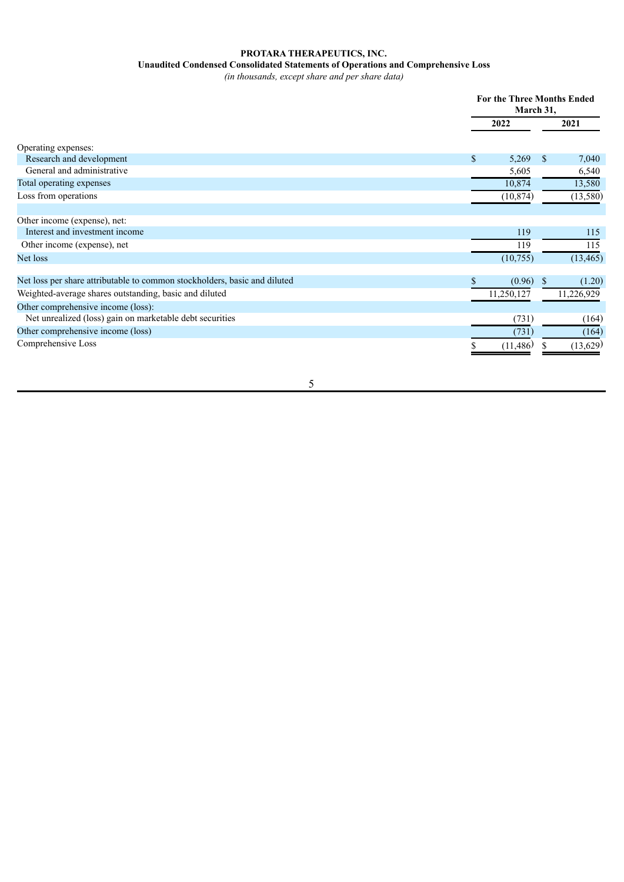# **PROTARA THERAPEUTICS, INC.**

#### **Unaudited Condensed Consolidated Statements of Operations and Comprehensive Loss**

*(in thousands, except share and per share data)*

|                                                                           |                       | <b>For the Three Months Ended</b><br>March 31, |  |  |
|---------------------------------------------------------------------------|-----------------------|------------------------------------------------|--|--|
|                                                                           | 2022                  | 2021                                           |  |  |
| Operating expenses:                                                       |                       |                                                |  |  |
| Research and development                                                  | $\mathbb{S}$<br>5,269 | <sup>\$</sup><br>7,040                         |  |  |
| General and administrative                                                | 5,605                 | 6,540                                          |  |  |
| Total operating expenses                                                  | 10,874                | 13,580                                         |  |  |
| Loss from operations                                                      | (10, 874)             | (13, 580)                                      |  |  |
|                                                                           |                       |                                                |  |  |
| Other income (expense), net:                                              |                       |                                                |  |  |
| Interest and investment income                                            | 119                   | 115                                            |  |  |
| Other income (expense), net                                               | 119                   | 115                                            |  |  |
| Net loss                                                                  | (10, 755)             | (13, 465)                                      |  |  |
|                                                                           |                       |                                                |  |  |
| Net loss per share attributable to common stockholders, basic and diluted | $(0.96)$ \$           | (1.20)                                         |  |  |
| Weighted-average shares outstanding, basic and diluted                    | 11,250,127            | 11,226,929                                     |  |  |
| Other comprehensive income (loss):                                        |                       |                                                |  |  |
| Net unrealized (loss) gain on marketable debt securities                  | (731)                 | (164)                                          |  |  |
| Other comprehensive income (loss)                                         | (731)                 | (164)                                          |  |  |
| Comprehensive Loss                                                        | (11, 486)             | (13,629)                                       |  |  |